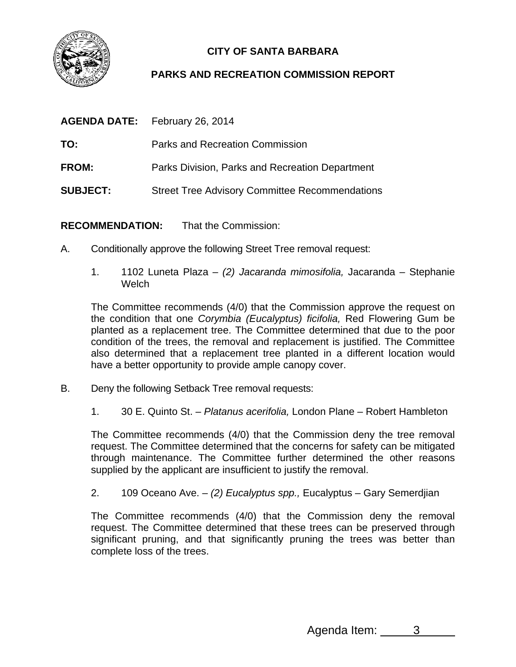

## **CITY OF SANTA BARBARA**

## **PARKS AND RECREATION COMMISSION REPORT**

| <b>AGENDA DATE:</b> | <b>February 26, 2014</b>                              |
|---------------------|-------------------------------------------------------|
| TO:                 | Parks and Recreation Commission                       |
| <b>FROM:</b>        | Parks Division, Parks and Recreation Department       |
| <b>SUBJECT:</b>     | <b>Street Tree Advisory Committee Recommendations</b> |

**RECOMMENDATION:** That the Commission:

- A. Conditionally approve the following Street Tree removal request:
	- 1. 1102 Luneta Plaza *(2) Jacaranda mimosifolia,* Jacaranda Stephanie **Welch**

The Committee recommends (4/0) that the Commission approve the request on the condition that one *Corymbia (Eucalyptus) ficifolia,* Red Flowering Gum be planted as a replacement tree. The Committee determined that due to the poor condition of the trees, the removal and replacement is justified. The Committee also determined that a replacement tree planted in a different location would have a better opportunity to provide ample canopy cover.

- B. Deny the following Setback Tree removal requests:
	- 1. 30 E. Quinto St. *Platanus acerifolia,* London Plane Robert Hambleton

The Committee recommends (4/0) that the Commission deny the tree removal request. The Committee determined that the concerns for safety can be mitigated through maintenance. The Committee further determined the other reasons supplied by the applicant are insufficient to justify the removal.

2. 109 Oceano Ave. – *(2) Eucalyptus spp.,* Eucalyptus – Gary Semerdjian

The Committee recommends (4/0) that the Commission deny the removal request. The Committee determined that these trees can be preserved through significant pruning, and that significantly pruning the trees was better than complete loss of the trees.